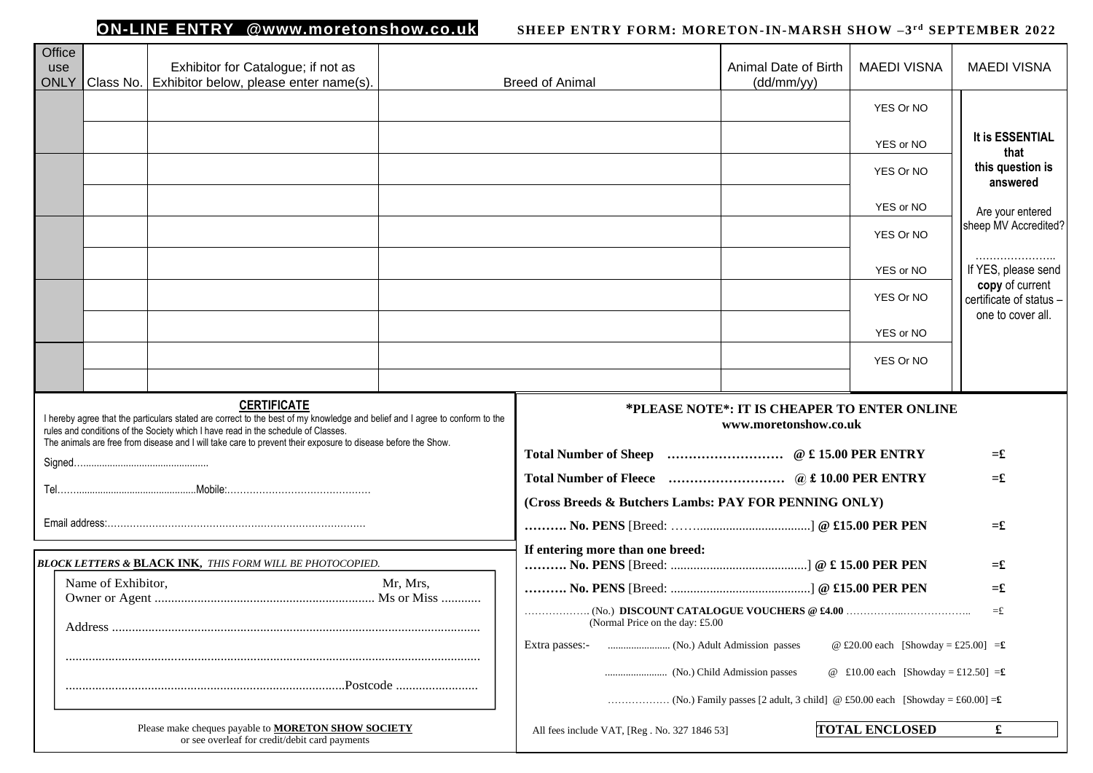## **ON-LINE ENTRY @www.moretonshow.co.uk**

## *SHEEP ENTRY FORM: MORETON-IN-MARSH SHOW -3<sup>rd</sup> SEPTEMBER 2022*

| Office<br>use<br>ONLY |                    | Exhibitor for Catalogue; if not as<br>Class No.   Exhibitor below, please enter name(s).                                                                                                                                                                                                                                                               |           | <b>Breed of Animal</b>                                | Animal Date of Birth<br>(dd/mm/yy)                                    | <b>MAEDI VISNA</b>                   | <b>MAEDI VISNA</b>                                              |
|-----------------------|--------------------|--------------------------------------------------------------------------------------------------------------------------------------------------------------------------------------------------------------------------------------------------------------------------------------------------------------------------------------------------------|-----------|-------------------------------------------------------|-----------------------------------------------------------------------|--------------------------------------|-----------------------------------------------------------------|
|                       |                    |                                                                                                                                                                                                                                                                                                                                                        |           |                                                       |                                                                       | YES Or NO                            |                                                                 |
|                       |                    |                                                                                                                                                                                                                                                                                                                                                        |           |                                                       |                                                                       | YES or NO                            | It is ESSENTIAL                                                 |
|                       |                    |                                                                                                                                                                                                                                                                                                                                                        |           |                                                       |                                                                       | YES Or NO                            | that<br>this question is                                        |
|                       |                    |                                                                                                                                                                                                                                                                                                                                                        |           |                                                       |                                                                       |                                      | answered                                                        |
|                       |                    |                                                                                                                                                                                                                                                                                                                                                        |           |                                                       |                                                                       | YES or NO                            | Are your entered<br>sheep MV Accredited?                        |
|                       |                    |                                                                                                                                                                                                                                                                                                                                                        |           |                                                       |                                                                       | YES Or NO                            |                                                                 |
|                       |                    |                                                                                                                                                                                                                                                                                                                                                        |           |                                                       |                                                                       | YES or NO                            | If YES, please send                                             |
|                       |                    |                                                                                                                                                                                                                                                                                                                                                        |           |                                                       |                                                                       | YES Or NO                            | copy of current<br>certificate of status -<br>one to cover all. |
|                       |                    |                                                                                                                                                                                                                                                                                                                                                        |           |                                                       |                                                                       | YES or NO                            |                                                                 |
|                       |                    |                                                                                                                                                                                                                                                                                                                                                        |           |                                                       |                                                                       | YES Or NO                            |                                                                 |
|                       |                    |                                                                                                                                                                                                                                                                                                                                                        |           |                                                       |                                                                       |                                      |                                                                 |
|                       |                    | <b>CERTIFICATE</b><br>I hereby agree that the particulars stated are correct to the best of my knowledge and belief and I agree to conform to the<br>rules and conditions of the Society which I have read in the schedule of Classes.<br>The animals are free from disease and I will take care to prevent their exposure to disease before the Show. |           |                                                       | *PLEASE NOTE*: IT IS CHEAPER TO ENTER ONLINE<br>www.moretonshow.co.uk |                                      |                                                                 |
|                       |                    |                                                                                                                                                                                                                                                                                                                                                        |           |                                                       |                                                                       |                                      | $=\pounds$                                                      |
|                       |                    |                                                                                                                                                                                                                                                                                                                                                        |           |                                                       |                                                                       |                                      | $=$ £                                                           |
|                       |                    |                                                                                                                                                                                                                                                                                                                                                        |           | (Cross Breeds & Butchers Lambs: PAY FOR PENNING ONLY) |                                                                       |                                      |                                                                 |
|                       |                    |                                                                                                                                                                                                                                                                                                                                                        |           |                                                       |                                                                       |                                      | $=$ £                                                           |
|                       |                    | <b>BLOCK LETTERS &amp; BLACK INK, THIS FORM WILL BE PHOTOCOPIED.</b>                                                                                                                                                                                                                                                                                   |           | If entering more than one breed:                      |                                                                       |                                      | $=$ £                                                           |
|                       | Name of Exhibitor, |                                                                                                                                                                                                                                                                                                                                                        | Mr. Mrs.  |                                                       |                                                                       |                                      | $=$ £                                                           |
|                       | Address.           |                                                                                                                                                                                                                                                                                                                                                        |           | (Normal Price on the day: £5.00                       |                                                                       |                                      | $=$ £                                                           |
|                       |                    |                                                                                                                                                                                                                                                                                                                                                        |           | Extra passes:-                                        |                                                                       | @ £20.00 each [Showday = £25.00] = £ |                                                                 |
|                       |                    |                                                                                                                                                                                                                                                                                                                                                        |           |                                                       |                                                                       | @ £10.00 each [Showday = £12.50] = £ |                                                                 |
|                       |                    |                                                                                                                                                                                                                                                                                                                                                        | .Postcode |                                                       |                                                                       |                                      |                                                                 |
|                       |                    | Please make cheques payable to MORETON SHOW SOCIETY<br>or see overleaf for credit/debit card payments                                                                                                                                                                                                                                                  |           | All fees include VAT, [Reg. No. 327 1846 53]          |                                                                       | <b>TOTAL ENCLOSED</b>                | $\mathbf f$                                                     |